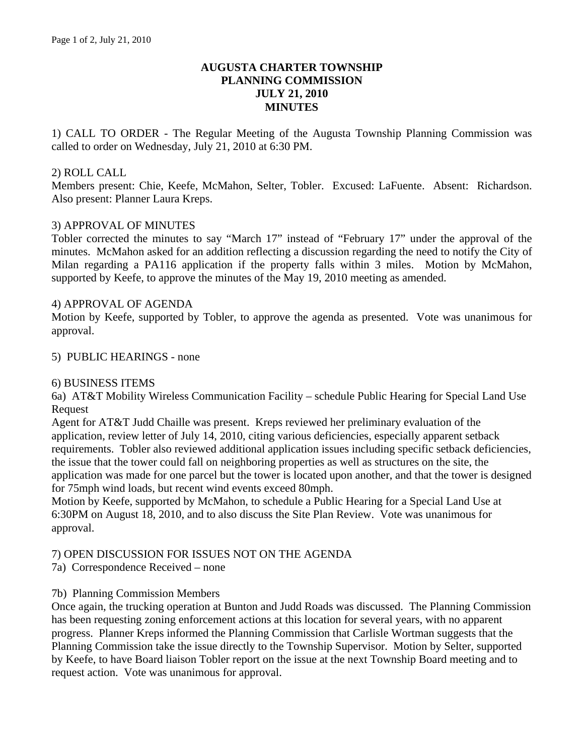## **AUGUSTA CHARTER TOWNSHIP PLANNING COMMISSION JULY 21, 2010 MINUTES**

1) CALL TO ORDER - The Regular Meeting of the Augusta Township Planning Commission was called to order on Wednesday, July 21, 2010 at 6:30 PM.

### 2) ROLL CALL

Members present: Chie, Keefe, McMahon, Selter, Tobler. Excused: LaFuente. Absent: Richardson. Also present: Planner Laura Kreps.

### 3) APPROVAL OF MINUTES

Tobler corrected the minutes to say "March 17" instead of "February 17" under the approval of the minutes. McMahon asked for an addition reflecting a discussion regarding the need to notify the City of Milan regarding a PA116 application if the property falls within 3 miles. Motion by McMahon, supported by Keefe, to approve the minutes of the May 19, 2010 meeting as amended.

### 4) APPROVAL OF AGENDA

Motion by Keefe, supported by Tobler, to approve the agenda as presented. Vote was unanimous for approval.

### 5) PUBLIC HEARINGS - none

#### 6) BUSINESS ITEMS

6a) AT&T Mobility Wireless Communication Facility – schedule Public Hearing for Special Land Use Request

Agent for AT&T Judd Chaille was present. Kreps reviewed her preliminary evaluation of the application, review letter of July 14, 2010, citing various deficiencies, especially apparent setback requirements. Tobler also reviewed additional application issues including specific setback deficiencies, the issue that the tower could fall on neighboring properties as well as structures on the site, the application was made for one parcel but the tower is located upon another, and that the tower is designed for 75mph wind loads, but recent wind events exceed 80mph.

Motion by Keefe, supported by McMahon, to schedule a Public Hearing for a Special Land Use at 6:30PM on August 18, 2010, and to also discuss the Site Plan Review. Vote was unanimous for approval.

# 7) OPEN DISCUSSION FOR ISSUES NOT ON THE AGENDA

7a) Correspondence Received – none

#### 7b) Planning Commission Members

Once again, the trucking operation at Bunton and Judd Roads was discussed. The Planning Commission has been requesting zoning enforcement actions at this location for several years, with no apparent progress. Planner Kreps informed the Planning Commission that Carlisle Wortman suggests that the Planning Commission take the issue directly to the Township Supervisor. Motion by Selter, supported by Keefe, to have Board liaison Tobler report on the issue at the next Township Board meeting and to request action. Vote was unanimous for approval.